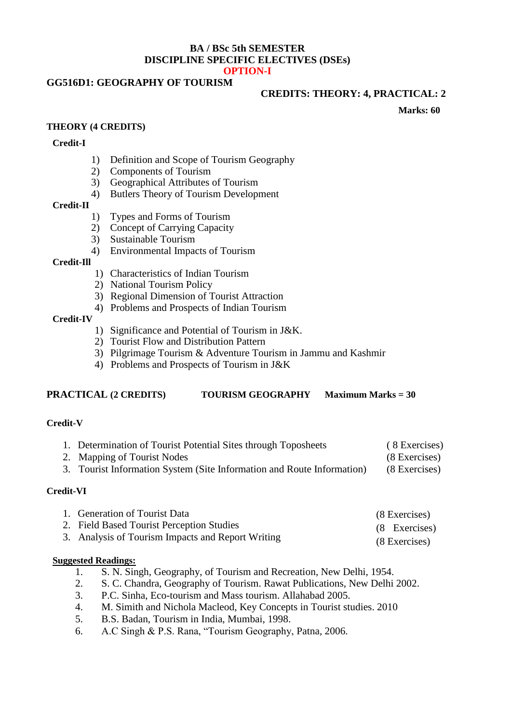## **BA / BSc 5th SEMESTER DISCIPLINE SPECIFIC ELECTIVES (DSEs) OPTION-I**

# **GG516D1: GEOGRAPHY OF TOURISM**

#### **CREDITS: THEORY: 4, PRACTICAL: 2**

**Marks: 60**

## **THEORY (4 CREDITS)**

#### **Credit-I**

- 1) Definition and Scope of Tourism Geography
- 2) Components of Tourism
- 3) Geographical Attributes of Tourism
- 4) Butlers Theory of Tourism Development

## **Credit-II**

- 1) Types and Forms of Tourism
- 2) Concept of Carrying Capacity
- 3) Sustainable Tourism
- 4) Environmental Impacts of Tourism

#### **Credit-Ill**

- 1) Characteristics of Indian Tourism
- 2) National Tourism Policy
- 3) Regional Dimension of Tourist Attraction
- 4) Problems and Prospects of Indian Tourism

## **Credit-IV**

- 1) Significance and Potential of Tourism in J&K.
- 2) Tourist Flow and Distribution Pattern
- 3) Pilgrimage Tourism & Adventure Tourism in Jammu and Kashmir
- 4) Problems and Prospects of Tourism in J&K

## **PRACTICAL (2 CREDITS) TOURISM GEOGRAPHY Maximum Marks = 30**

## **Credit-V**

| 1. Determination of Tourist Potential Sites through Toposheets         | (8 Exercises) |
|------------------------------------------------------------------------|---------------|
| 2. Mapping of Tourist Nodes                                            | (8 Exercises) |
| 3. Tourist Information System (Site Information and Route Information) | (8 Exercises) |

## **Credit-VI**

| 1. Generation of Tourist Data                     | (8 Exercises) |
|---------------------------------------------------|---------------|
| 2. Field Based Tourist Perception Studies         | (8 Exercises) |
| 3. Analysis of Tourism Impacts and Report Writing | (8 Exercises) |

## **Suggested Readings:**

- 1. S. N. Singh, Geography, of Tourism and Recreation, New Delhi, 1954.
- 2. S. C. Chandra, Geography of Tourism. Rawat Publications, New Delhi 2002.
- 3. P.C. Sinha, Eco-tourism and Mass tourism. Allahabad 2005.
- 4. M. Simith and Nichola Macleod, Key Concepts in Tourist studies. 2010
- 5. B.S. Badan, Tourism in India, Mumbai, 1998.
- 6. A.C Singh & P.S. Rana, "Tourism Geography, Patna, 2006.